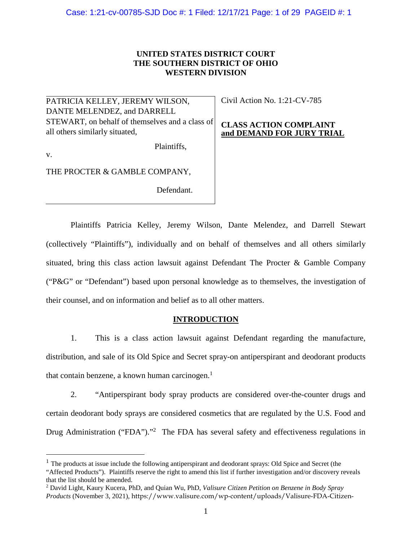### **UNITED STATES DISTRICT COURT THE SOUTHERN DISTRICT OF OHIO WESTERN DIVISION**

PATRICIA KELLEY, JEREMY WILSON, DANTE MELENDEZ, and DARRELL STEWART, on behalf of themselves and a class of all others similarly situated,

Plaintiffs,

Civil Action No. 1:21-CV-785

### **CLASS ACTION COMPLAINT and DEMAND FOR JURY TRIAL**

v.

 $\overline{a}$ 

THE PROCTER & GAMBLE COMPANY,

Defendant.

Plaintiffs Patricia Kelley, Jeremy Wilson, Dante Melendez, and Darrell Stewart (collectively "Plaintiffs"), individually and on behalf of themselves and all others similarly situated, bring this class action lawsuit against Defendant The Procter & Gamble Company ("P&G" or "Defendant") based upon personal knowledge as to themselves, the investigation of their counsel, and on information and belief as to all other matters.

### **INTRODUCTION**

1. This is a class action lawsuit against Defendant regarding the manufacture, distribution, and sale of its Old Spice and Secret spray-on antiperspirant and deodorant products that contain benzene, a known human carcinogen. $<sup>1</sup>$ </sup>

2. "Antiperspirant body spray products are considered over-the-counter drugs and certain deodorant body sprays are considered cosmetics that are regulated by the U.S. Food and Drug Administration ("FDA")."<sup>2</sup> The FDA has several safety and effectiveness regulations in

<sup>&</sup>lt;sup>1</sup> The products at issue include the following antiperspirant and deodorant sprays: Old Spice and Secret (the "Affected Products"). Plaintiffs reserve the right to amend this list if further investigation and/or discovery reveals that the list should be amended.

<sup>2</sup> David Light, Kaury Kucera, PhD, and Quian Wu, PhD, *Valisure Citizen Petition on Benzene in Body Spray Products* (November 3, 2021), https://www.valisure.com/wp-content/uploads/Valisure-FDA-Citizen-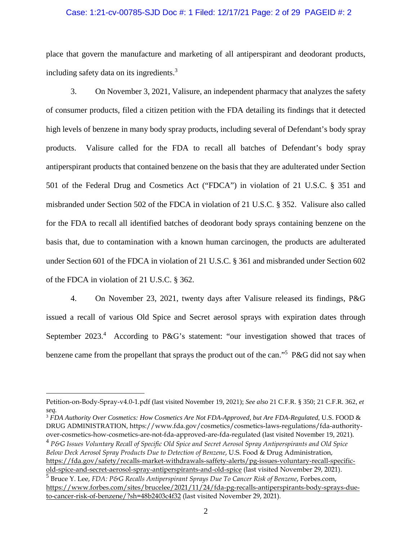### Case: 1:21-cv-00785-SJD Doc #: 1 Filed: 12/17/21 Page: 2 of 29 PAGEID #: 2

place that govern the manufacture and marketing of all antiperspirant and deodorant products, including safety data on its ingredients. $3$ 

3. On November 3, 2021, Valisure, an independent pharmacy that analyzes the safety of consumer products, filed a citizen petition with the FDA detailing its findings that it detected high levels of benzene in many body spray products, including several of Defendant's body spray products. Valisure called for the FDA to recall all batches of Defendant's body spray antiperspirant products that contained benzene on the basis that they are adulterated under Section 501 of the Federal Drug and Cosmetics Act ("FDCA") in violation of 21 U.S.C. § 351 and misbranded under Section 502 of the FDCA in violation of 21 U.S.C. § 352. Valisure also called for the FDA to recall all identified batches of deodorant body sprays containing benzene on the basis that, due to contamination with a known human carcinogen, the products are adulterated under Section 601 of the FDCA in violation of 21 U.S.C. § 361 and misbranded under Section 602 of the FDCA in violation of 21 U.S.C. § 362.

4. On November 23, 2021, twenty days after Valisure released its findings, P&G issued a recall of various Old Spice and Secret aerosol sprays with expiration dates through September 2023.<sup>4</sup> According to P&G's statement: "our investigation showed that traces of benzene came from the propellant that sprays the product out of the can."<sup>5</sup> P&G did not say when

 $\overline{a}$ 

<sup>3</sup> *FDA Authority Over Cosmetics: How Cosmetics Are Not FDA-Approved, but Are FDA-Regulated*, U.S. FOOD & DRUG ADMINISTRATION, https://www.fda.gov/cosmetics/cosmetics-laws-regulations/fda-authorityover-cosmetics-how-cosmetics-are-not-fda-approved-are-fda-regulated (last visited November 19, 2021).

Petition-on-Body-Spray-v4.0-1.pdf (last visited November 19, 2021); *See also* 21 C.F.R. § 350; 21 C.F.R. 362, *et seq.* 

<sup>4</sup> *P&G Issues Voluntary Recall of Specific Old Spice and Secret Aerosol Spray Antiperspirants and Old Spice Below Deck Aerosol Spray Products Due to Detection of Benzene*, U.S. Food & Drug Administration, [https://fda.gov/safety/recalls-market-withdrawals-saffety-alerts/pg-issues-voluntary-recall-specific](https://fda.gov/safety/recalls-market-withdrawals-saffety-alerts/pg-issues-voluntary-recall-specific-old-spice-and-secret-aerosol-spray-antiperspirants-and-old-spice)[old-spice-and-secret-aerosol-spray-antiperspirants-and-old-spice \(](https://fda.gov/safety/recalls-market-withdrawals-saffety-alerts/pg-issues-voluntary-recall-specific-old-spice-and-secret-aerosol-spray-antiperspirants-and-old-spice)last visited November 29, 2021).

<sup>5</sup> Bruce Y. Lee, *FDA: P&G Recalls Antiperspirant Sprays Due To Cancer Risk of Benzene*, Forbes.com, [https://www.forbes.com/sites/brucelee/2021/11/24/fda-pg-recalls-antiperspirants-body-sprays-due](https://www.forbes.com/sites/brucelee/2021/11/24/fda-pg-recalls-antiperspirants-body-sprays-due-to-cancer-risk-of-benzene/?sh=48b2403c4f32)[to-cancer-risk-of-benzene/?sh=48b2403c4f32](https://www.forbes.com/sites/brucelee/2021/11/24/fda-pg-recalls-antiperspirants-body-sprays-due-to-cancer-risk-of-benzene/?sh=48b2403c4f32) (last visited November 29, 2021).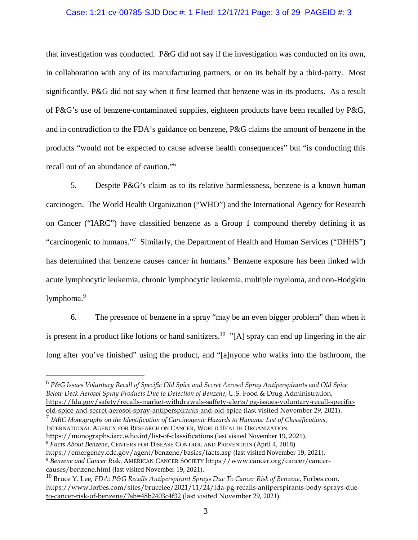### Case: 1:21-cv-00785-SJD Doc #: 1 Filed: 12/17/21 Page: 3 of 29 PAGEID #: 3

that investigation was conducted. P&G did not say if the investigation was conducted on its own, in collaboration with any of its manufacturing partners, or on its behalf by a third-party. Most significantly, P&G did not say when it first learned that benzene was in its products. As a result of P&G's use of benzene-contaminated supplies, eighteen products have been recalled by P&G, and in contradiction to the FDA's guidance on benzene, P&G claims the amount of benzene in the products "would not be expected to cause adverse health consequences" but "is conducting this recall out of an abundance of caution."<sup>6</sup>

5. Despite P&G's claim as to its relative harmlessness, benzene is a known human carcinogen. The World Health Organization ("WHO") and the International Agency for Research on Cancer ("IARC") have classified benzene as a Group 1 compound thereby defining it as "carcinogenic to humans."<sup>7</sup> Similarly, the Department of Health and Human Services ("DHHS") has determined that benzene causes cancer in humans.<sup>8</sup> Benzene exposure has been linked with acute lymphocytic leukemia, chronic lymphocytic leukemia, multiple myeloma, and non-Hodgkin lymphoma.<sup>9</sup>

6. The presence of benzene in a spray "may be an even bigger problem" than when it is present in a product like lotions or hand sanitizers.<sup>10</sup> "[A] spray can end up lingering in the air long after you've finished" using the product, and "[a]nyone who walks into the bathroom, the

7 *IARC Monographs on the Identification of Carcinogenic Hazards to Humans: List of Classifications*, INTERNATIONAL AGENCY FOR RESEARCH ON CANCER, WORLD HEALTH ORGANIZATION, https://monographs.iarc.who.int/list-of-classifications (last visited November 19, 2021). <sup>8</sup> *Facts About Benzene,* CENTERS FOR DISEASE CONTROL AND PREVENTION (April 4, 2018) https://emergency.cdc.gov/agent/benzene/basics/facts.asp (last visited November 19, 2021).

 $\overline{a}$ 

<sup>9</sup> *Benzene and Cancer Ris*k, AMERICAN CANCER SOCIETY https://www.cancer.org/cancer/cancercauses/benzene.html (last visited November 19, 2021).

<sup>6</sup> *P&G Issues Voluntary Recall of Specific Old Spice and Secret Aerosol Spray Antiperspirants and Old Spice Below Deck Aerosol Spray Products Due to Detection of Benzene*, U.S. Food & Drug Administration, [https://fda.gov/safety/recalls-market-withdrawals-saffety-alerts/pg-issues-voluntary-recall-specific](https://fda.gov/safety/recalls-market-withdrawals-saffety-alerts/pg-issues-voluntary-recall-specific-old-spice-and-secret-aerosol-spray-antiperspirants-and-old-spice)[old-spice-and-secret-aerosol-spray-antiperspirants-and-old-spice \(](https://fda.gov/safety/recalls-market-withdrawals-saffety-alerts/pg-issues-voluntary-recall-specific-old-spice-and-secret-aerosol-spray-antiperspirants-and-old-spice)last visited November 29, 2021).

<sup>10</sup> Bruce Y. Lee, *FDA: P&G Recalls Antiperspirant Sprays Due To Cancer Risk of Benzene*, Forbes.com, [https://www.forbes.com/sites/brucelee/2021/11/24/fda-pg-recalls-antiperspirants-body-sprays-due](https://www.forbes.com/sites/brucelee/2021/11/24/fda-pg-recalls-antiperspirants-body-sprays-due-to-cancer-risk-of-benzene/?sh=48b2403c4f32)[to-cancer-risk-of-benzene/?sh=48b2403c4f32](https://www.forbes.com/sites/brucelee/2021/11/24/fda-pg-recalls-antiperspirants-body-sprays-due-to-cancer-risk-of-benzene/?sh=48b2403c4f32) (last visited November 29, 2021).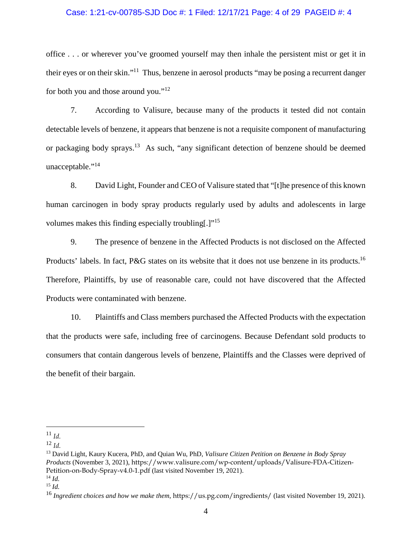### Case: 1:21-cv-00785-SJD Doc #: 1 Filed: 12/17/21 Page: 4 of 29 PAGEID #: 4

office . . . or wherever you've groomed yourself may then inhale the persistent mist or get it in their eyes or on their skin."<sup>11</sup> Thus, benzene in aerosol products "may be posing a recurrent danger" for both you and those around you."<sup>12</sup>

7. According to Valisure, because many of the products it tested did not contain detectable levels of benzene, it appears that benzene is not a requisite component of manufacturing or packaging body sprays.<sup>13</sup> As such, "any significant detection of benzene should be deemed unacceptable."<sup>14</sup>

8. David Light, Founder and CEO of Valisure stated that "[t]he presence of this known human carcinogen in body spray products regularly used by adults and adolescents in large volumes makes this finding especially troubling[.]"<sup>15</sup>

9. The presence of benzene in the Affected Products is not disclosed on the Affected Products' labels. In fact, P&G states on its website that it does not use benzene in its products.<sup>16</sup> Therefore, Plaintiffs, by use of reasonable care, could not have discovered that the Affected Products were contaminated with benzene.

10. Plaintiffs and Class members purchased the Affected Products with the expectation that the products were safe, including free of carcinogens. Because Defendant sold products to consumers that contain dangerous levels of benzene, Plaintiffs and the Classes were deprived of the benefit of their bargain.

 $\overline{a}$ 

<sup>11</sup> *Id.*

 $12 \, \text{Id}$ 

<sup>13</sup> David Light, Kaury Kucera, PhD, and Quian Wu, PhD, *Valisure Citizen Petition on Benzene in Body Spray Products* (November 3, 2021), https://www.valisure.com/wp-content/uploads/Valisure-FDA-Citizen-Petition-on-Body-Spray-v4.0-1.pdf (last visited November 19, 2021).

<sup>14</sup> *Id.* 

<sup>15</sup> *Id.*

<sup>&</sup>lt;sup>16</sup> Ingredient choices and how we make them, https://us.pg.com/ingredients/ (last visited November 19, 2021).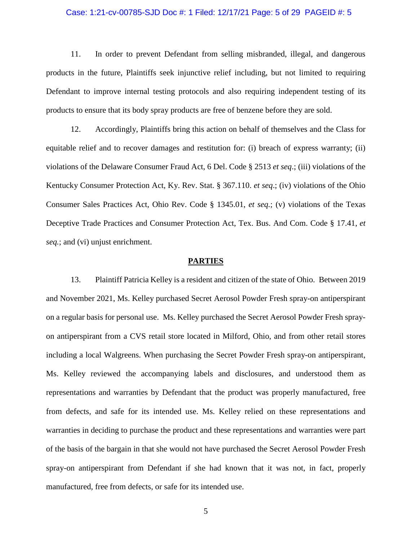### Case: 1:21-cv-00785-SJD Doc #: 1 Filed: 12/17/21 Page: 5 of 29 PAGEID #: 5

11. In order to prevent Defendant from selling misbranded, illegal, and dangerous products in the future, Plaintiffs seek injunctive relief including, but not limited to requiring Defendant to improve internal testing protocols and also requiring independent testing of its products to ensure that its body spray products are free of benzene before they are sold.

12. Accordingly, Plaintiffs bring this action on behalf of themselves and the Class for equitable relief and to recover damages and restitution for: (i) breach of express warranty; (ii) violations of the Delaware Consumer Fraud Act, 6 Del. Code § 2513 *et seq*.; (iii) violations of the Kentucky Consumer Protection Act, Ky. Rev. Stat. § 367.110. *et seq*.; (iv) violations of the Ohio Consumer Sales Practices Act, Ohio Rev. Code § 1345.01, *et seq.*; (v) violations of the Texas Deceptive Trade Practices and Consumer Protection Act, Tex. Bus. And Com. Code § 17.41, *et seq.*; and (vi) unjust enrichment.

#### **PARTIES**

13. Plaintiff Patricia Kelley is a resident and citizen of the state of Ohio. Between 2019 and November 2021, Ms. Kelley purchased Secret Aerosol Powder Fresh spray-on antiperspirant on a regular basis for personal use. Ms. Kelley purchased the Secret Aerosol Powder Fresh sprayon antiperspirant from a CVS retail store located in Milford, Ohio, and from other retail stores including a local Walgreens. When purchasing the Secret Powder Fresh spray-on antiperspirant, Ms. Kelley reviewed the accompanying labels and disclosures, and understood them as representations and warranties by Defendant that the product was properly manufactured, free from defects, and safe for its intended use. Ms. Kelley relied on these representations and warranties in deciding to purchase the product and these representations and warranties were part of the basis of the bargain in that she would not have purchased the Secret Aerosol Powder Fresh spray-on antiperspirant from Defendant if she had known that it was not, in fact, properly manufactured, free from defects, or safe for its intended use.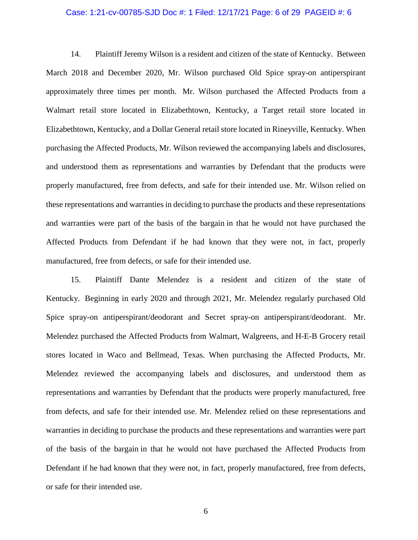### Case: 1:21-cv-00785-SJD Doc #: 1 Filed: 12/17/21 Page: 6 of 29 PAGEID #: 6

14. Plaintiff Jeremy Wilson is a resident and citizen of the state of Kentucky. Between March 2018 and December 2020, Mr. Wilson purchased Old Spice spray-on antiperspirant approximately three times per month. Mr. Wilson purchased the Affected Products from a Walmart retail store located in Elizabethtown, Kentucky, a Target retail store located in Elizabethtown, Kentucky, and a Dollar General retail store located in Rineyville, Kentucky. When purchasing the Affected Products, Mr. Wilson reviewed the accompanying labels and disclosures, and understood them as representations and warranties by Defendant that the products were properly manufactured, free from defects, and safe for their intended use. Mr. Wilson relied on these representations and warranties in deciding to purchase the products and these representations and warranties were part of the basis of the bargain in that he would not have purchased the Affected Products from Defendant if he had known that they were not, in fact, properly manufactured, free from defects, or safe for their intended use.

15. Plaintiff Dante Melendez is a resident and citizen of the state of Kentucky. Beginning in early 2020 and through 2021, Mr. Melendez regularly purchased Old Spice spray-on antiperspirant/deodorant and Secret spray-on antiperspirant/deodorant. Mr. Melendez purchased the Affected Products from Walmart, Walgreens, and H-E-B Grocery retail stores located in Waco and Bellmead, Texas. When purchasing the Affected Products, Mr. Melendez reviewed the accompanying labels and disclosures, and understood them as representations and warranties by Defendant that the products were properly manufactured, free from defects, and safe for their intended use. Mr. Melendez relied on these representations and warranties in deciding to purchase the products and these representations and warranties were part of the basis of the bargain in that he would not have purchased the Affected Products from Defendant if he had known that they were not, in fact, properly manufactured, free from defects, or safe for their intended use.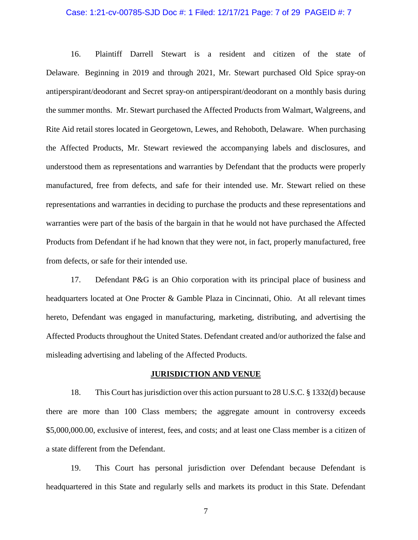### Case: 1:21-cv-00785-SJD Doc #: 1 Filed: 12/17/21 Page: 7 of 29 PAGEID #: 7

16. Plaintiff Darrell Stewart is a resident and citizen of the state of Delaware. Beginning in 2019 and through 2021, Mr. Stewart purchased Old Spice spray-on antiperspirant/deodorant and Secret spray-on antiperspirant/deodorant on a monthly basis during the summer months. Mr. Stewart purchased the Affected Products from Walmart, Walgreens, and Rite Aid retail stores located in Georgetown, Lewes, and Rehoboth, Delaware. When purchasing the Affected Products, Mr. Stewart reviewed the accompanying labels and disclosures, and understood them as representations and warranties by Defendant that the products were properly manufactured, free from defects, and safe for their intended use. Mr. Stewart relied on these representations and warranties in deciding to purchase the products and these representations and warranties were part of the basis of the bargain in that he would not have purchased the Affected Products from Defendant if he had known that they were not, in fact, properly manufactured, free from defects, or safe for their intended use.

17. Defendant P&G is an Ohio corporation with its principal place of business and headquarters located at One Procter & Gamble Plaza in Cincinnati, Ohio. At all relevant times hereto, Defendant was engaged in manufacturing, marketing, distributing, and advertising the Affected Products throughout the United States. Defendant created and/or authorized the false and misleading advertising and labeling of the Affected Products.

#### **JURISDICTION AND VENUE**

18. This Court has jurisdiction over this action pursuant to 28 U.S.C. § 1332(d) because there are more than 100 Class members; the aggregate amount in controversy exceeds \$5,000,000.00, exclusive of interest, fees, and costs; and at least one Class member is a citizen of a state different from the Defendant.

19. This Court has personal jurisdiction over Defendant because Defendant is headquartered in this State and regularly sells and markets its product in this State. Defendant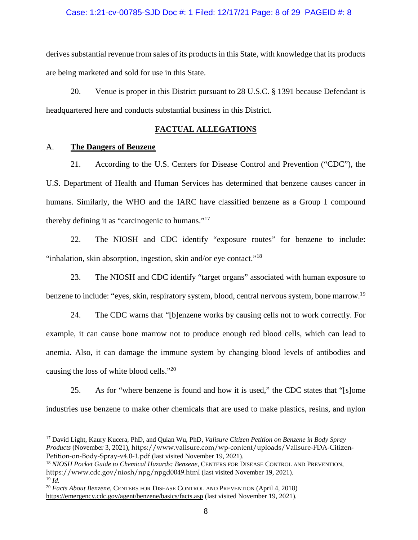### Case: 1:21-cv-00785-SJD Doc #: 1 Filed: 12/17/21 Page: 8 of 29 PAGEID #: 8

derives substantial revenue from sales of its products in this State, with knowledge that its products are being marketed and sold for use in this State.

20. Venue is proper in this District pursuant to 28 U.S.C. § 1391 because Defendant is headquartered here and conducts substantial business in this District.

### **FACTUAL ALLEGATIONS**

### A. **The Dangers of Benzene**

 $\overline{a}$ 

21. According to the U.S. Centers for Disease Control and Prevention ("CDC"), the U.S. Department of Health and Human Services has determined that benzene causes cancer in humans. Similarly, the WHO and the IARC have classified benzene as a Group 1 compound thereby defining it as "carcinogenic to humans."<sup>17</sup>

22. The NIOSH and CDC identify "exposure routes" for benzene to include: "inhalation, skin absorption, ingestion, skin and/or eye contact."<sup>18</sup>

23. The NIOSH and CDC identify "target organs" associated with human exposure to benzene to include: "eyes, skin, respiratory system, blood, central nervous system, bone marrow.<sup>19</sup>

24. The CDC warns that "[b]enzene works by causing cells not to work correctly. For example, it can cause bone marrow not to produce enough red blood cells, which can lead to anemia. Also, it can damage the immune system by changing blood levels of antibodies and causing the loss of white blood cells."<sup>20</sup>

25. As for "where benzene is found and how it is used," the CDC states that "[s]ome industries use benzene to make other chemicals that are used to make plastics, resins, and nylon

<sup>17</sup> David Light, Kaury Kucera, PhD, and Quian Wu, PhD, *Valisure Citizen Petition on Benzene in Body Spray Products* (November 3, 2021), https://www.valisure.com/wp-content/uploads/Valisure-FDA-Citizen-Petition-on-Body-Spray-v4.0-1.pdf (last visited November 19, 2021).

<sup>18</sup> *NIOSH Pocket Guide to Chemical Hazards: Benzene*, CENTERS FOR DISEASE CONTROL AND PREVENTION, https://www.cdc.gov/niosh/npg/npgd0049.html (last visited November 19, 2021).  $^{19}$   $\dot{Id}$ .

<sup>20</sup> *Facts About Benzene,* CENTERS FOR DISEASE CONTROL AND PREVENTION (April 4, 2018) https://emergency.cdc.gov/agent/benzene/basics/facts.asp (last visited November 19, 2021).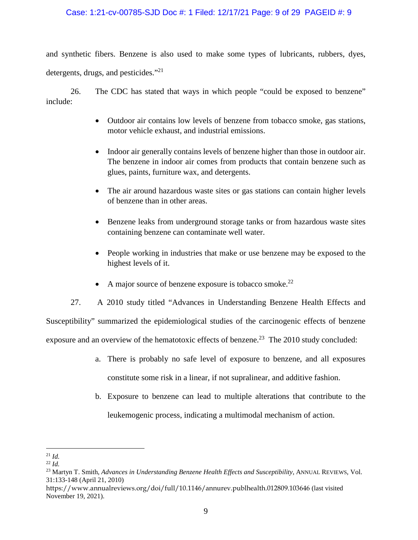### Case: 1:21-cv-00785-SJD Doc #: 1 Filed: 12/17/21 Page: 9 of 29 PAGEID #: 9

and synthetic fibers. Benzene is also used to make some types of lubricants, rubbers, dyes, detergents, drugs, and pesticides."<sup>21</sup>

26. The CDC has stated that ways in which people "could be exposed to benzene" include:

- Outdoor air contains low levels of benzene from tobacco smoke, gas stations, motor vehicle exhaust, and industrial emissions.
- Indoor air generally contains levels of benzene higher than those in outdoor air. The benzene in indoor air comes from products that contain benzene such as glues, paints, furniture wax, and detergents.
- The air around hazardous waste sites or gas stations can contain higher levels of benzene than in other areas.
- Benzene leaks from underground storage tanks or from hazardous waste sites containing benzene can contaminate well water.
- People working in industries that make or use benzene may be exposed to the highest levels of it.
- A major source of benzene exposure is tobacco smoke.<sup>22</sup>

27. A 2010 study titled "Advances in Understanding Benzene Health Effects and Susceptibility" summarized the epidemiological studies of the carcinogenic effects of benzene exposure and an overview of the hematotoxic effects of benzene.<sup>23</sup> The 2010 study concluded:

- a. There is probably no safe level of exposure to benzene, and all exposures constitute some risk in a linear, if not supralinear, and additive fashion.
- b. Exposure to benzene can lead to multiple alterations that contribute to the leukemogenic process, indicating a multimodal mechanism of action.

 $\overline{a}$  $^{21}$  *Id.* 

 $22$  *Id.* 

<sup>&</sup>lt;sup>23</sup> Martyn T. Smith, *Advances in Understanding Benzene Health Effects and Susceptibility*, ANNUAL REVIEWS, Vol. 31:133-148 (April 21, 2010)

https://www.annualreviews.org/doi/full/10.1146/annurev.publhealth.012809.103646 (last visited November 19, 2021).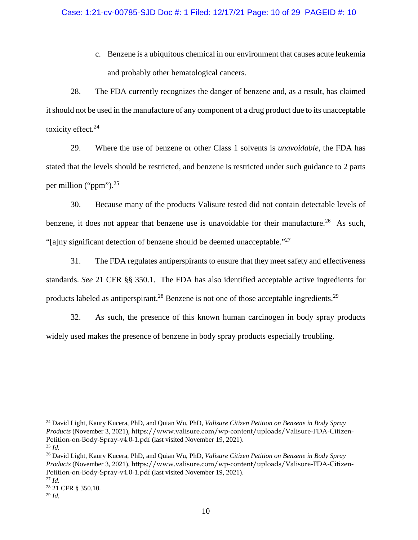c. Benzene is a ubiquitous chemical in our environment that causes acute leukemia and probably other hematological cancers.

28. The FDA currently recognizes the danger of benzene and, as a result, has claimed it should not be used in the manufacture of any component of a drug product due to its unacceptable toxicity effect. $24$ 

29. Where the use of benzene or other Class 1 solvents is *unavoidable*, the FDA has stated that the levels should be restricted, and benzene is restricted under such guidance to 2 parts per million ("ppm").<sup>25</sup>

30. Because many of the products Valisure tested did not contain detectable levels of benzene, it does not appear that benzene use is unavoidable for their manufacture.<sup>26</sup> As such, "[a]ny significant detection of benzene should be deemed unacceptable."<sup>27</sup>

31. The FDA regulates antiperspirants to ensure that they meet safety and effectiveness standards. *See* 21 CFR §§ 350.1. The FDA has also identified acceptable active ingredients for products labeled as antiperspirant.<sup>28</sup> Benzene is not one of those acceptable ingredients.<sup>29</sup>

32. As such, the presence of this known human carcinogen in body spray products widely used makes the presence of benzene in body spray products especially troubling.

 $\overline{a}$ 

<sup>24</sup> David Light, Kaury Kucera, PhD, and Quian Wu, PhD, *Valisure Citizen Petition on Benzene in Body Spray Products* (November 3, 2021), https://www.valisure.com/wp-content/uploads/Valisure-FDA-Citizen-Petition-on-Body-Spray-v4.0-1.pdf (last visited November 19, 2021).

 $^{25}$  *Id.* 

<sup>26</sup> David Light, Kaury Kucera, PhD, and Quian Wu, PhD, *Valisure Citizen Petition on Benzene in Body Spray Products* (November 3, 2021), https://www.valisure.com/wp-content/uploads/Valisure-FDA-Citizen-Petition-on-Body-Spray-v4.0-1.pdf (last visited November 19, 2021).

 $^{27}$  *Id.* 

<sup>28</sup> 21 CFR § 350.10*.* 

<sup>29</sup> *Id.*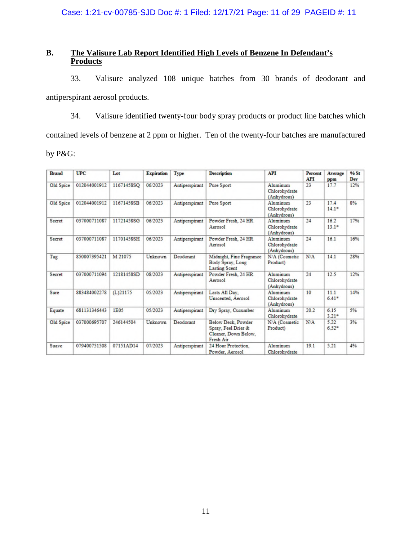Case: 1:21-cv-00785-SJD Doc #: 1 Filed: 12/17/21 Page: 11 of 29 PAGEID #: 11

### **B. The Valisure Lab Report Identified High Levels of Benzene In Defendant's Products**

33. Valisure analyzed 108 unique batches from 30 brands of deodorant and antiperspirant aerosol products.

34. Valisure identified twenty-four body spray products or product line batches which contained levels of benzene at 2 ppm or higher. Ten of the twenty-four batches are manufactured by P&G:

| <b>Brand</b> | <b>UPC</b>   | Lot         | <b>Expiration</b> | Type           | <b>Description</b>                                                             | <b>API</b>                               | <b>Percent</b><br><b>API</b> | Average<br>ppm  | <b>96 St</b><br>Dev |
|--------------|--------------|-------------|-------------------|----------------|--------------------------------------------------------------------------------|------------------------------------------|------------------------------|-----------------|---------------------|
| Old Spice    | 012044001912 | 11671458SO  | 06/2023           | Antiperspirant | Pure Sport                                                                     | Aluminum<br>Chlorohydrate<br>(Anhydrous) | 23                           | 17.7            | 12%                 |
| Old Spice    | 012044001912 | 11671458SB  | 06/2023           | Antiperspirant | Pure Sport                                                                     | Aluminum<br>Chlorohydrate<br>(Anhydrous) | 23                           | 17.4<br>$14.1*$ | 8%                  |
| Secret       | 037000711087 | 11721458SG  | 06/2023           | Antiperspirant | Powder Fresh, 24 HR<br>Aerosol                                                 | Aluminum<br>Chlorohydrate<br>(Anhydrous) | 24                           | 16.2<br>$13.1*$ | 17%                 |
| Secret       | 037000711087 | 11701458SH  | 06/2023           | Antiperspirant | Powder Fresh, 24 HR<br>Aerosol                                                 | Aluminum<br>Chlorohydrate<br>(Anhydrous) | 24                           | 16.1            | 16%                 |
| Tag          | 850007395421 | M 21075     | Unknown           | Deodorant      | Midnight, Fine Fragrance<br>Body Spray, Long<br><b>Lasting Scent</b>           | N/A (Cosmetic<br>Product)                | N/A                          | 14.1            | 28%                 |
| Secret       | 037000711094 | 12181458SD  | 08/2023           | Antiperspirant | Powder Fresh, 24 HR<br>Aerosol                                                 | Aluminum<br>Chlorohydrate<br>(Anhydrous) | 24                           | 12.5            | 12%                 |
| Sure         | 883484002278 | $(L)$ 21175 | 05/2023           | Antiperspirant | Lasts All Day,<br>Unscented, Aerosol                                           | Aluminum<br>Chlorohydrate<br>(Anhydrous) | 10                           | 11.1<br>$6.41*$ | 14%                 |
| Equate       | 681131346443 | 1E05        | 05/2023           | Antiperspirant | Dry Spray, Cucumber                                                            | Aluminum<br>Chlorohydrate                | 20.2                         | 6.15<br>$3.21*$ | 5%                  |
| Old Spice    | 037000695707 | 246144504   | Unknown           | Deodorant      | Below Deck, Powder<br>Spray, Feel Drier &<br>Cleaner, Down Below,<br>Fresh Air | N/A (Cosmetic<br>Product)                | N/A                          | 5.22<br>$6.52*$ | 3%                  |
| Suave        | 079400751508 | 07151AD14   | 07/2023           | Antiperspirant | 24 Hour Protection.<br>Powder, Aerosol                                         | Aluminum<br>Chlorohydrate                | 19.1                         | 5.21            | 4%                  |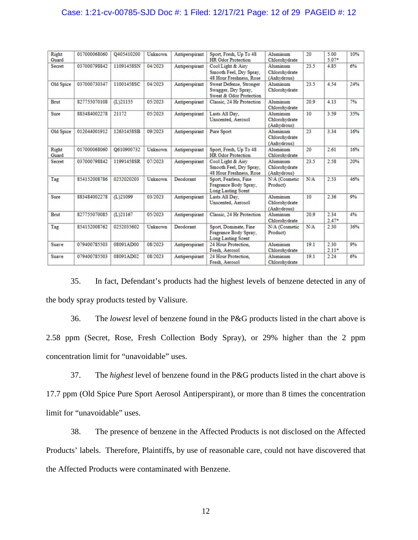### Case: 1:21-cv-00785-SJD Doc #: 1 Filed: 12/17/21 Page: 12 of 29 PAGEID #: 12

| Right<br>Guard | 017000068060 | O405410200  | Unknown | Antiperspirant | Sport, Fresh, Up To 48<br><b>HR</b> Odor Protection                         | Aluminum<br>Chlorohydrate                | 20   | 5.00<br>$5.07*$ | 10% |
|----------------|--------------|-------------|---------|----------------|-----------------------------------------------------------------------------|------------------------------------------|------|-----------------|-----|
| Secret         | 037000798842 | 11091458SN  | 04/2023 | Antiperspirant | Cool Light & Airy<br>Smooth Feel, Dry Spray,<br>48 Hour Freshness, Rose     | Aluminum<br>Chlorohydrate<br>(Anhydrous) | 23.5 | 4.85            | 6%  |
| Old Spice      | 037000730347 | 11001458SC  | 04/2023 | Antiperspirant | Sweat Defense, Stronger<br>Swagger, Dry Spray,<br>Sweat & Odor Protection   | Aluminum<br>Chlorohydrate                | 23.5 | 4.54            | 24% |
| Brut           | 827755070108 | $(L)$ 21155 | 05/2023 | Antiperspirant | Classic, 24 Hr Protection                                                   | Aluminum<br>Chlorohydrate                | 20.9 | 4.13            | 796 |
| Sure           | 883484002278 | 21172       | 05/2023 | Antiperspirant | Lasts All Day,<br>Unscented, Aerosol                                        | Aluminum<br>Chlorohydrate<br>(Anhydrous) | 10   | 3.59            | 35% |
| Old Spice      | 012044001912 | 12631458SB  | 09/2023 | Antiperspirant | Pure Sport                                                                  | Aluminum<br>Chlorohydrate<br>(Anhydrous) | 23   | 3.34            | 16% |
| Right<br>Guard | 017000068060 | O610900732  | Unknown | Antiperspirant | Sport, Fresh, Up To 48<br><b>HR</b> Odor Protection                         | Aluminum<br>Chlorohydrate                | 20   | 2.61            | 16% |
| Secret         | 037000798842 | 11991458SR  | 07/2023 | Antiperspirant | Cool Light & Airy<br>Smooth Feel, Dry Spray,<br>48 Hour Freshness, Rose     | Aluminum<br>Chlorohydrate<br>(Anhydrous) | 23.5 | 2.58            | 20% |
| Tag            | 854152008786 | 0252020203  | Unknown | Deodorant      | Sport, Fearless, Fine<br>Fragrance Body Spray,<br><b>Long Lasting Scent</b> | N/A (Cosmetic<br>Product)                | N/A  | 2.53            | 46% |
| Sure           | 883484002278 | (L)21099    | 03/2023 | Antiperspirant | Lasts All Day,<br>Unscented, Aerosol                                        | Aluminum<br>Chlorohydrate<br>(Anhydrous) | 10   | 2.36            | 9%  |
| Brut           | 827755070085 | $(L)$ 21167 | 05/2023 | Antiperspirant | Classic, 24 Hr Protection                                                   | Aluminum<br>Chlorohydrate                | 20.9 | 2.34<br>$2.47*$ | 4%  |
| Tag            | 854152008762 | 0252035602  | Unknown | Deodorant      | Sport, Dominate, Fine<br>Fragrance Body Spray,<br>Long Lasting Scent        | N/A (Cosmetic<br>Product)                | N/A  | 2.30            | 36% |
| Suave          | 079400785503 | 08091AD00   | 08/2023 | Antiperspirant | 24 Hour Protection.<br>Fresh, Aerosol                                       | Aluminum<br>Chlorohydrate                | 19.1 | 2.30<br>$2.11*$ | 9%  |
| Suave          | 079400785503 | 08091AD02   | 08/2023 | Antiperspirant | 24 Hour Protection.<br>Fresh, Aerosol                                       | Aluminum<br>Chlorohydrate                | 19.1 | 2.24            | 6%  |

35. In fact, Defendant's products had the highest levels of benzene detected in any of the body spray products tested by Valisure.

36. The *lowest* level of benzene found in the P&G products listed in the chart above is 2.58 ppm (Secret, Rose, Fresh Collection Body Spray), or 29% higher than the 2 ppm concentration limit for "unavoidable" uses.

37. The *highest* level of benzene found in the P&G products listed in the chart above is 17.7 ppm (Old Spice Pure Sport Aerosol Antiperspirant), or more than 8 times the concentration limit for "unavoidable" uses.

38. The presence of benzene in the Affected Products is not disclosed on the Affected Products' labels. Therefore, Plaintiffs, by use of reasonable care, could not have discovered that the Affected Products were contaminated with Benzene.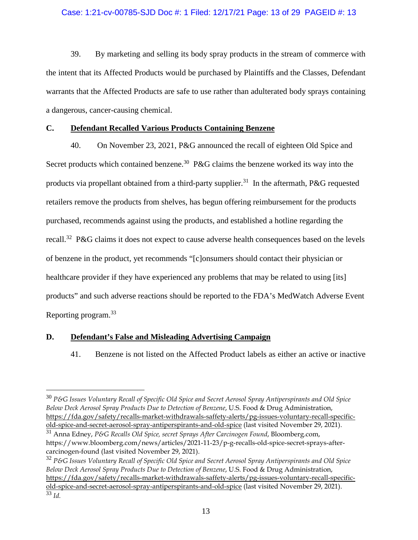### Case: 1:21-cv-00785-SJD Doc #: 1 Filed: 12/17/21 Page: 13 of 29 PAGEID #: 13

39. By marketing and selling its body spray products in the stream of commerce with the intent that its Affected Products would be purchased by Plaintiffs and the Classes, Defendant warrants that the Affected Products are safe to use rather than adulterated body sprays containing a dangerous, cancer-causing chemical.

### **C. Defendant Recalled Various Products Containing Benzene**

40. On November 23, 2021, P&G announced the recall of eighteen Old Spice and Secret products which contained benzene.<sup>30</sup> P&G claims the benzene worked its way into the products via propellant obtained from a third-party supplier.<sup>31</sup> In the aftermath, P&G requested retailers remove the products from shelves, has begun offering reimbursement for the products purchased, recommends against using the products, and established a hotline regarding the recall.<sup>32</sup> P&G claims it does not expect to cause adverse health consequences based on the levels of benzene in the product, yet recommends "[c]onsumers should contact their physician or healthcare provider if they have experienced any problems that may be related to using [its] products" and such adverse reactions should be reported to the FDA's MedWatch Adverse Event Reporting program.<sup>33</sup>

### **D. Defendant's False and Misleading Advertising Campaign**

 $\overline{a}$ 

41. Benzene is not listed on the Affected Product labels as either an active or inactive

<sup>30</sup> *P&G Issues Voluntary Recall of Specific Old Spice and Secret Aerosol Spray Antiperspirants and Old Spice Below Deck Aerosol Spray Products Due to Detection of Benzene*, U.S. Food & Drug Administration, [https://fda.gov/safety/recalls-market-withdrawals-saffety-alerts/pg-issues-voluntary-recall-specific](https://fda.gov/safety/recalls-market-withdrawals-saffety-alerts/pg-issues-voluntary-recall-specific-old-spice-and-secret-aerosol-spray-antiperspirants-and-old-spice)[old-spice-and-secret-aerosol-spray-antiperspirants-and-old-spice \(](https://fda.gov/safety/recalls-market-withdrawals-saffety-alerts/pg-issues-voluntary-recall-specific-old-spice-and-secret-aerosol-spray-antiperspirants-and-old-spice)last visited November 29, 2021).

<sup>31</sup> Anna Edney, *P&G Recalls Old Spice, secret Sprays After Carcinogen Found*, Bloomberg.com, https://www.bloomberg.com/news/articles/2021-11-23/p-g-recalls-old-spice-secret-sprays-aftercarcinogen-found (last visited November 29, 2021).

<sup>32</sup> *P&G Issues Voluntary Recall of Specific Old Spice and Secret Aerosol Spray Antiperspirants and Old Spice Below Deck Aerosol Spray Products Due to Detection of Benzene*, U.S. Food & Drug Administration, [https://fda.gov/safety/recalls-market-withdrawals-saffety-alerts/pg-issues-voluntary-recall-specific](https://fda.gov/safety/recalls-market-withdrawals-saffety-alerts/pg-issues-voluntary-recall-specific-old-spice-and-secret-aerosol-spray-antiperspirants-and-old-spice)[old-spice-and-secret-aerosol-spray-antiperspirants-and-old-spice \(](https://fda.gov/safety/recalls-market-withdrawals-saffety-alerts/pg-issues-voluntary-recall-specific-old-spice-and-secret-aerosol-spray-antiperspirants-and-old-spice)last visited November 29, 2021). <sup>33</sup> *Id.*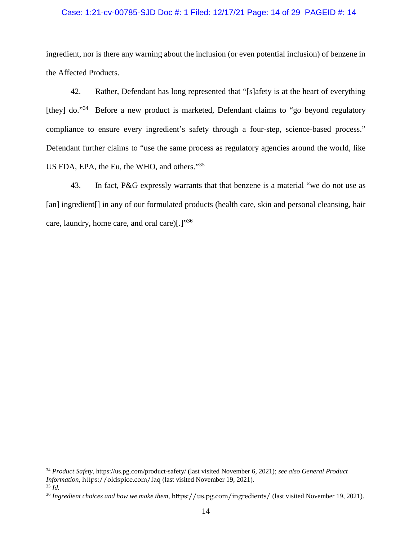### Case: 1:21-cv-00785-SJD Doc #: 1 Filed: 12/17/21 Page: 14 of 29 PAGEID #: 14

ingredient, nor is there any warning about the inclusion (or even potential inclusion) of benzene in the Affected Products.

42. Rather, Defendant has long represented that "[s]afety is at the heart of everything [they] do."<sup>34</sup> Before a new product is marketed, Defendant claims to "go beyond regulatory" compliance to ensure every ingredient's safety through a four-step, science-based process." Defendant further claims to "use the same process as regulatory agencies around the world, like US FDA, EPA, the Eu, the WHO, and others."<sup>35</sup>

43. In fact, P&G expressly warrants that that benzene is a material "we do not use as [an] ingredient[] in any of our formulated products (health care, skin and personal cleansing, hair care, laundry, home care, and oral care) $[.]^{36}$ 

 $\overline{a}$ 

<sup>34</sup> *Product Safety*, https://us.pg.com/product-safety/ (last visited November 6, 2021); *see also General Product Information*, https://oldspice.com/faq (last visited November 19, 2021). <sup>35</sup> *Id.*

<sup>36</sup> *Ingredient choices and how we make them*, https://us.pg.com/ingredients/ (last visited November 19, 2021).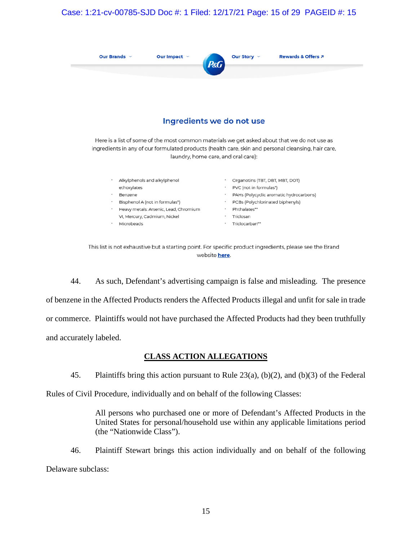### Case: 1:21-cv-00785-SJD Doc #: 1 Filed: 12/17/21 Page: 15 of 29 PAGEID #: 15

| Our Brands $\sim$         | Our Impact $\sim$ | Our Story ~<br>Rewards & Offers 7<br>$P\&G$ |  |  |  |  |  |  |  |
|---------------------------|-------------------|---------------------------------------------|--|--|--|--|--|--|--|
|                           |                   |                                             |  |  |  |  |  |  |  |
| Ingredients we do not use |                   |                                             |  |  |  |  |  |  |  |

Here is a list of some of the most common materials we get asked about that we do not use as ingredients in any of our formulated products (health care, skin and personal cleansing, hair care, laundry, home care, and oral care):

- · Alkylphenols and alkylphenol
- ethoxylates Benzene
- Bisphenol A (not in formulas\*)
- · Heavy metals: Arsenic, Lead, Chromium
- VI, Mercury, Cadmium, Nickel
- · Microbeads
- · Organotins (TBT, DBT, MBT, DOT) · PVC (not in formulas\*)
- · PAHs (Polycyclic aromatic hydrocarbons)
- · PCBs (Polychlorinated biphenyls)
- · Phthalates\*\*
- · Triclosan · Triclocarban\*\*

44. As such, Defendant's advertising campaign is false and misleading. The presence of benzene in the Affected Products renders the Affected Products illegal and unfit for sale in trade or commerce. Plaintiffs would not have purchased the Affected Products had they been truthfully and accurately labeled.

## **CLASS ACTION ALLEGATIONS**

45. Plaintiffs bring this action pursuant to Rule 23(a), (b)(2), and (b)(3) of the Federal

Rules of Civil Procedure, individually and on behalf of the following Classes:

All persons who purchased one or more of Defendant's Affected Products in the United States for personal/household use within any applicable limitations period (the "Nationwide Class").

46. Plaintiff Stewart brings this action individually and on behalf of the following Delaware subclass:

This list is not exhaustive but a starting point. For specific product ingredients, please see the Brand website **here**.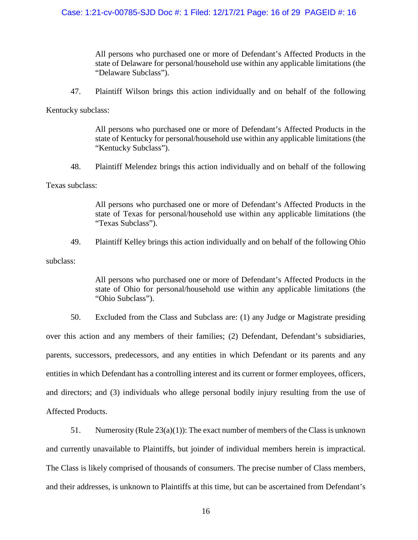All persons who purchased one or more of Defendant's Affected Products in the state of Delaware for personal/household use within any applicable limitations (the "Delaware Subclass").

47. Plaintiff Wilson brings this action individually and on behalf of the following

Kentucky subclass:

All persons who purchased one or more of Defendant's Affected Products in the state of Kentucky for personal/household use within any applicable limitations (the "Kentucky Subclass").

48. Plaintiff Melendez brings this action individually and on behalf of the following

Texas subclass:

All persons who purchased one or more of Defendant's Affected Products in the state of Texas for personal/household use within any applicable limitations (the "Texas Subclass").

49. Plaintiff Kelley brings this action individually and on behalf of the following Ohio

subclass:

All persons who purchased one or more of Defendant's Affected Products in the state of Ohio for personal/household use within any applicable limitations (the "Ohio Subclass").

50. Excluded from the Class and Subclass are: (1) any Judge or Magistrate presiding over this action and any members of their families; (2) Defendant, Defendant's subsidiaries, parents, successors, predecessors, and any entities in which Defendant or its parents and any entities in which Defendant has a controlling interest and its current or former employees, officers, and directors; and (3) individuals who allege personal bodily injury resulting from the use of Affected Products.

51. Numerosity (Rule 23(a)(1)): The exact number of members of the Class is unknown and currently unavailable to Plaintiffs, but joinder of individual members herein is impractical. The Class is likely comprised of thousands of consumers. The precise number of Class members, and their addresses, is unknown to Plaintiffs at this time, but can be ascertained from Defendant's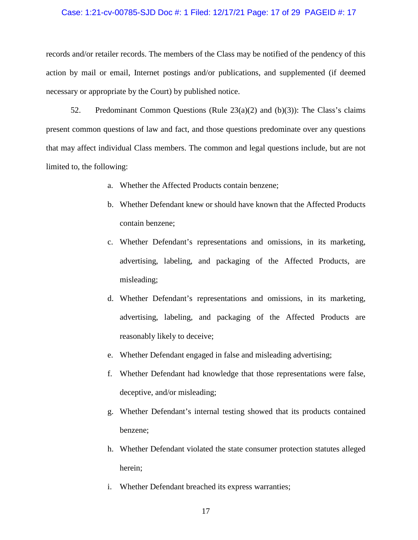### Case: 1:21-cv-00785-SJD Doc #: 1 Filed: 12/17/21 Page: 17 of 29 PAGEID #: 17

records and/or retailer records. The members of the Class may be notified of the pendency of this action by mail or email, Internet postings and/or publications, and supplemented (if deemed necessary or appropriate by the Court) by published notice.

52. Predominant Common Questions (Rule 23(a)(2) and (b)(3)): The Class's claims present common questions of law and fact, and those questions predominate over any questions that may affect individual Class members. The common and legal questions include, but are not limited to, the following:

- a. Whether the Affected Products contain benzene;
- b. Whether Defendant knew or should have known that the Affected Products contain benzene;
- c. Whether Defendant's representations and omissions, in its marketing, advertising, labeling, and packaging of the Affected Products, are misleading;
- d. Whether Defendant's representations and omissions, in its marketing, advertising, labeling, and packaging of the Affected Products are reasonably likely to deceive;
- e. Whether Defendant engaged in false and misleading advertising;
- f. Whether Defendant had knowledge that those representations were false, deceptive, and/or misleading;
- g. Whether Defendant's internal testing showed that its products contained benzene;
- h. Whether Defendant violated the state consumer protection statutes alleged herein;
- i. Whether Defendant breached its express warranties;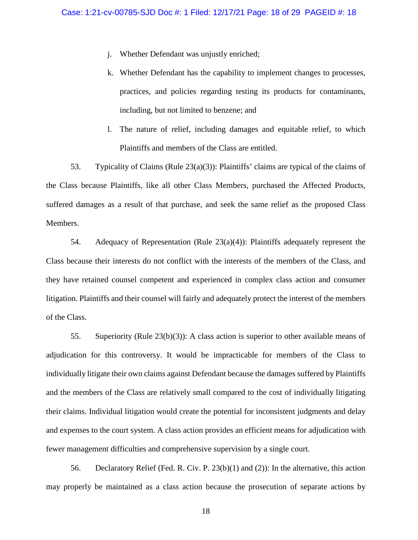- j. Whether Defendant was unjustly enriched;
- k. Whether Defendant has the capability to implement changes to processes, practices, and policies regarding testing its products for contaminants, including, but not limited to benzene; and
- l. The nature of relief, including damages and equitable relief, to which Plaintiffs and members of the Class are entitled.

53. Typicality of Claims (Rule 23(a)(3)): Plaintiffs' claims are typical of the claims of the Class because Plaintiffs, like all other Class Members, purchased the Affected Products, suffered damages as a result of that purchase, and seek the same relief as the proposed Class Members.

54. Adequacy of Representation (Rule  $23(a)(4)$ ): Plaintiffs adequately represent the Class because their interests do not conflict with the interests of the members of the Class, and they have retained counsel competent and experienced in complex class action and consumer litigation. Plaintiffs and their counsel will fairly and adequately protect the interest of the members of the Class.

55. Superiority (Rule 23(b)(3)): A class action is superior to other available means of adjudication for this controversy. It would be impracticable for members of the Class to individually litigate their own claims against Defendant because the damages suffered by Plaintiffs and the members of the Class are relatively small compared to the cost of individually litigating their claims. Individual litigation would create the potential for inconsistent judgments and delay and expenses to the court system. A class action provides an efficient means for adjudication with fewer management difficulties and comprehensive supervision by a single court.

56. Declaratory Relief (Fed. R. Civ. P. 23(b)(1) and (2)): In the alternative, this action may properly be maintained as a class action because the prosecution of separate actions by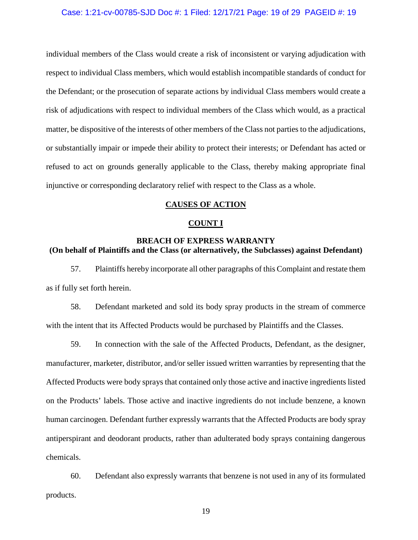### Case: 1:21-cv-00785-SJD Doc #: 1 Filed: 12/17/21 Page: 19 of 29 PAGEID #: 19

individual members of the Class would create a risk of inconsistent or varying adjudication with respect to individual Class members, which would establish incompatible standards of conduct for the Defendant; or the prosecution of separate actions by individual Class members would create a risk of adjudications with respect to individual members of the Class which would, as a practical matter, be dispositive of the interests of other members of the Class not parties to the adjudications, or substantially impair or impede their ability to protect their interests; or Defendant has acted or refused to act on grounds generally applicable to the Class, thereby making appropriate final injunctive or corresponding declaratory relief with respect to the Class as a whole.

### **CAUSES OF ACTION**

### **COUNT I**

### **BREACH OF EXPRESS WARRANTY (On behalf of Plaintiffs and the Class (or alternatively, the Subclasses) against Defendant)**

57. Plaintiffs hereby incorporate all other paragraphs of this Complaint and restate them as if fully set forth herein.

58. Defendant marketed and sold its body spray products in the stream of commerce with the intent that its Affected Products would be purchased by Plaintiffs and the Classes.

59. In connection with the sale of the Affected Products, Defendant, as the designer, manufacturer, marketer, distributor, and/or seller issued written warranties by representing that the Affected Products were body sprays that contained only those active and inactive ingredients listed on the Products' labels. Those active and inactive ingredients do not include benzene, a known human carcinogen. Defendant further expressly warrants that the Affected Products are body spray antiperspirant and deodorant products, rather than adulterated body sprays containing dangerous chemicals.

60. Defendant also expressly warrants that benzene is not used in any of its formulated products.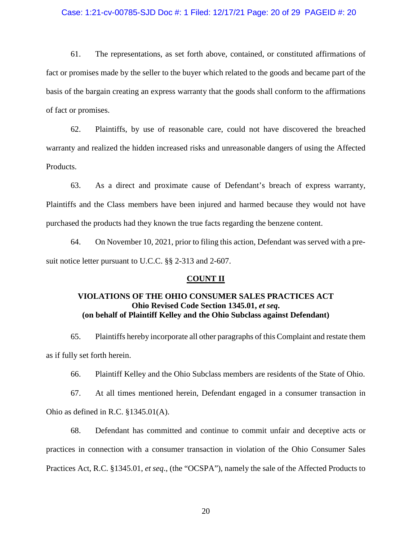### Case: 1:21-cv-00785-SJD Doc #: 1 Filed: 12/17/21 Page: 20 of 29 PAGEID #: 20

61. The representations, as set forth above, contained, or constituted affirmations of fact or promises made by the seller to the buyer which related to the goods and became part of the basis of the bargain creating an express warranty that the goods shall conform to the affirmations of fact or promises.

62. Plaintiffs, by use of reasonable care, could not have discovered the breached warranty and realized the hidden increased risks and unreasonable dangers of using the Affected Products.

63. As a direct and proximate cause of Defendant's breach of express warranty, Plaintiffs and the Class members have been injured and harmed because they would not have purchased the products had they known the true facts regarding the benzene content.

64. On November 10, 2021, prior to filing this action, Defendant was served with a presuit notice letter pursuant to U.C.C. §§ 2-313 and 2-607.

#### **COUNT II**

### **VIOLATIONS OF THE OHIO CONSUMER SALES PRACTICES ACT Ohio Revised Code Section 1345.01,** *et seq***. (on behalf of Plaintiff Kelley and the Ohio Subclass against Defendant)**

65. Plaintiffs hereby incorporate all other paragraphs of this Complaint and restate them as if fully set forth herein.

66. Plaintiff Kelley and the Ohio Subclass members are residents of the State of Ohio.

67. At all times mentioned herein, Defendant engaged in a consumer transaction in Ohio as defined in R.C. §1345.01(A).

68. Defendant has committed and continue to commit unfair and deceptive acts or practices in connection with a consumer transaction in violation of the Ohio Consumer Sales Practices Act, R.C. §1345.01, *et seq*., (the "OCSPA"), namely the sale of the Affected Products to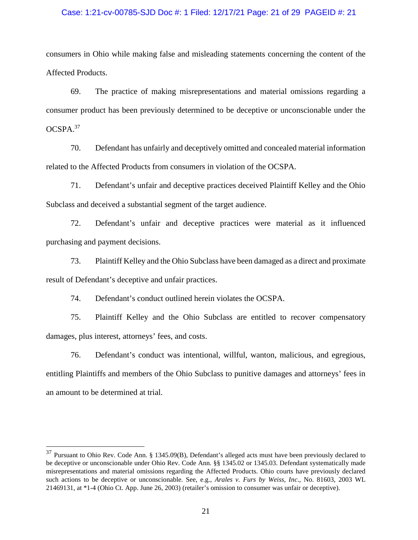### Case: 1:21-cv-00785-SJD Doc #: 1 Filed: 12/17/21 Page: 21 of 29 PAGEID #: 21

consumers in Ohio while making false and misleading statements concerning the content of the Affected Products.

69. The practice of making misrepresentations and material omissions regarding a consumer product has been previously determined to be deceptive or unconscionable under the OCSPA.<sup>37</sup>

70. Defendant has unfairly and deceptively omitted and concealed material information related to the Affected Products from consumers in violation of the OCSPA.

71. Defendant's unfair and deceptive practices deceived Plaintiff Kelley and the Ohio Subclass and deceived a substantial segment of the target audience.

72. Defendant's unfair and deceptive practices were material as it influenced purchasing and payment decisions.

73. Plaintiff Kelley and the Ohio Subclass have been damaged as a direct and proximate result of Defendant's deceptive and unfair practices.

74. Defendant's conduct outlined herein violates the OCSPA.

 $\overline{a}$ 

75. Plaintiff Kelley and the Ohio Subclass are entitled to recover compensatory damages, plus interest, attorneys' fees, and costs.

76. Defendant's conduct was intentional, willful, wanton, malicious, and egregious, entitling Plaintiffs and members of the Ohio Subclass to punitive damages and attorneys' fees in an amount to be determined at trial.

<sup>&</sup>lt;sup>37</sup> Pursuant to Ohio Rev. Code Ann. § 1345.09(B), Defendant's alleged acts must have been previously declared to be deceptive or unconscionable under Ohio Rev. Code Ann. §§ 1345.02 or 1345.03. Defendant systematically made misrepresentations and material omissions regarding the Affected Products. Ohio courts have previously declared such actions to be deceptive or unconscionable. See, e.g., *Arales v. Furs by Weiss, Inc*., No. 81603, 2003 WL 21469131, at \*1-4 (Ohio Ct. App. June 26, 2003) (retailer's omission to consumer was unfair or deceptive).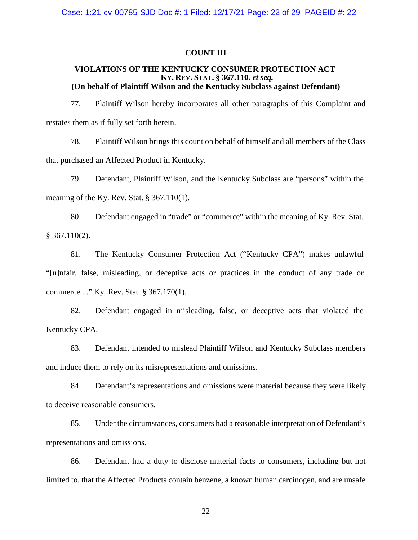### **COUNT III**

### **VIOLATIONS OF THE KENTUCKY CONSUMER PROTECTION ACT KY. REV. STAT. § 367.110.** *et seq.* **(On behalf of Plaintiff Wilson and the Kentucky Subclass against Defendant)**

77. Plaintiff Wilson hereby incorporates all other paragraphs of this Complaint and restates them as if fully set forth herein.

78. Plaintiff Wilson brings this count on behalf of himself and all members of the Class that purchased an Affected Product in Kentucky.

79. Defendant, Plaintiff Wilson, and the Kentucky Subclass are "persons" within the meaning of the Ky. Rev. Stat. § 367.110(1).

80. Defendant engaged in "trade" or "commerce" within the meaning of Ky. Rev. Stat.  $§$  367.110(2).

81. The Kentucky Consumer Protection Act ("Kentucky CPA") makes unlawful "[u]nfair, false, misleading, or deceptive acts or practices in the conduct of any trade or commerce...." Ky. Rev. Stat. § 367.170(1).

82. Defendant engaged in misleading, false, or deceptive acts that violated the Kentucky CPA.

83. Defendant intended to mislead Plaintiff Wilson and Kentucky Subclass members and induce them to rely on its misrepresentations and omissions.

84. Defendant's representations and omissions were material because they were likely to deceive reasonable consumers.

85. Under the circumstances, consumers had a reasonable interpretation of Defendant's representations and omissions.

86. Defendant had a duty to disclose material facts to consumers, including but not limited to, that the Affected Products contain benzene, a known human carcinogen, and are unsafe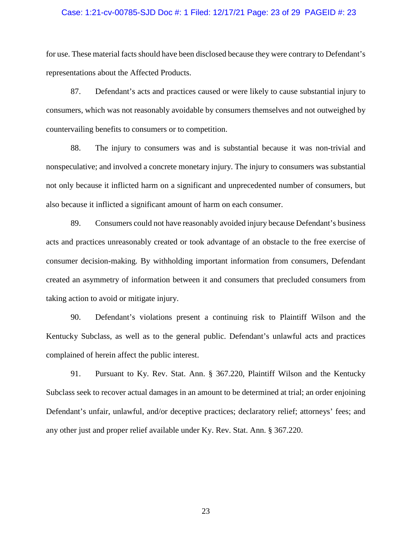### Case: 1:21-cv-00785-SJD Doc #: 1 Filed: 12/17/21 Page: 23 of 29 PAGEID #: 23

for use. These material facts should have been disclosed because they were contrary to Defendant's representations about the Affected Products.

87. Defendant's acts and practices caused or were likely to cause substantial injury to consumers, which was not reasonably avoidable by consumers themselves and not outweighed by countervailing benefits to consumers or to competition.

88. The injury to consumers was and is substantial because it was non-trivial and nonspeculative; and involved a concrete monetary injury. The injury to consumers was substantial not only because it inflicted harm on a significant and unprecedented number of consumers, but also because it inflicted a significant amount of harm on each consumer.

89. Consumers could not have reasonably avoided injury because Defendant's business acts and practices unreasonably created or took advantage of an obstacle to the free exercise of consumer decision-making. By withholding important information from consumers, Defendant created an asymmetry of information between it and consumers that precluded consumers from taking action to avoid or mitigate injury.

90. Defendant's violations present a continuing risk to Plaintiff Wilson and the Kentucky Subclass, as well as to the general public. Defendant's unlawful acts and practices complained of herein affect the public interest.

91. Pursuant to Ky. Rev. Stat. Ann. § 367.220, Plaintiff Wilson and the Kentucky Subclass seek to recover actual damages in an amount to be determined at trial; an order enjoining Defendant's unfair, unlawful, and/or deceptive practices; declaratory relief; attorneys' fees; and any other just and proper relief available under Ky. Rev. Stat. Ann. § 367.220.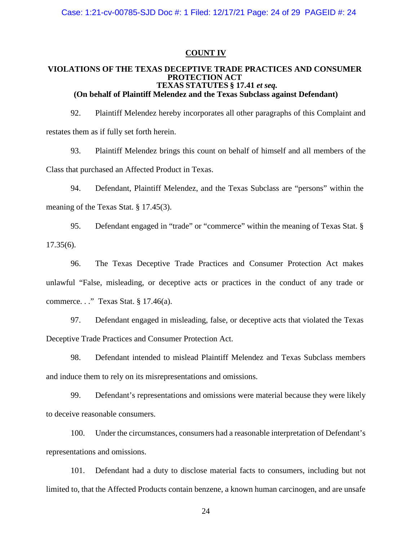### **COUNT IV**

#### **VIOLATIONS OF THE TEXAS DECEPTIVE TRADE PRACTICES AND CONSUMER PROTECTION ACT TEXAS STATUTES § 17.41** *et seq.* **(On behalf of Plaintiff Melendez and the Texas Subclass against Defendant)**

92. Plaintiff Melendez hereby incorporates all other paragraphs of this Complaint and restates them as if fully set forth herein.

93. Plaintiff Melendez brings this count on behalf of himself and all members of the Class that purchased an Affected Product in Texas.

94. Defendant, Plaintiff Melendez, and the Texas Subclass are "persons" within the meaning of the Texas Stat. § 17.45(3).

95. Defendant engaged in "trade" or "commerce" within the meaning of Texas Stat. § 17.35(6).

96. The Texas Deceptive Trade Practices and Consumer Protection Act makes unlawful "False, misleading, or deceptive acts or practices in the conduct of any trade or commerce. . ." Texas Stat. § 17.46(a).

97. Defendant engaged in misleading, false, or deceptive acts that violated the Texas Deceptive Trade Practices and Consumer Protection Act.

98. Defendant intended to mislead Plaintiff Melendez and Texas Subclass members and induce them to rely on its misrepresentations and omissions.

99. Defendant's representations and omissions were material because they were likely to deceive reasonable consumers.

100. Under the circumstances, consumers had a reasonable interpretation of Defendant's representations and omissions.

101. Defendant had a duty to disclose material facts to consumers, including but not limited to, that the Affected Products contain benzene, a known human carcinogen, and are unsafe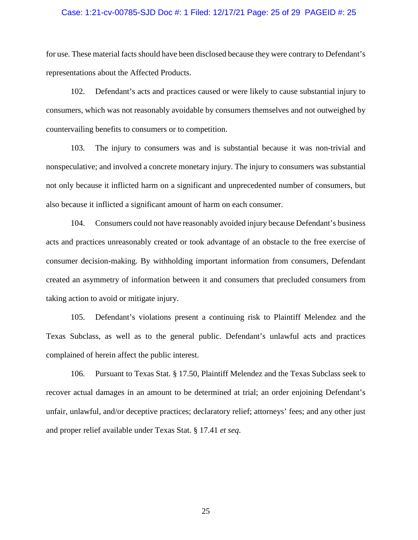### Case: 1:21-cv-00785-SJD Doc #: 1 Filed: 12/17/21 Page: 25 of 29 PAGEID #: 25

for use. These material facts should have been disclosed because they were contrary to Defendant's representations about the Affected Products.

102. Defendant's acts and practices caused or were likely to cause substantial injury to consumers, which was not reasonably avoidable by consumers themselves and not outweighed by countervailing benefits to consumers or to competition.

103. The injury to consumers was and is substantial because it was non-trivial and nonspeculative; and involved a concrete monetary injury. The injury to consumers was substantial not only because it inflicted harm on a significant and unprecedented number of consumers, but also because it inflicted a significant amount of harm on each consumer.

104. Consumers could not have reasonably avoided injury because Defendant's business acts and practices unreasonably created or took advantage of an obstacle to the free exercise of consumer decision-making. By withholding important information from consumers, Defendant created an asymmetry of information between it and consumers that precluded consumers from taking action to avoid or mitigate injury.

105. Defendant's violations present a continuing risk to Plaintiff Melendez and the Texas Subclass, as well as to the general public. Defendant's unlawful acts and practices complained of herein affect the public interest.

106. Pursuant to Texas Stat. § 17.50, Plaintiff Melendez and the Texas Subclass seek to recover actual damages in an amount to be determined at trial; an order enjoining Defendant's unfair, unlawful, and/or deceptive practices; declaratory relief; attorneys' fees; and any other just and proper relief available under Texas Stat. § 17.41 *et seq*.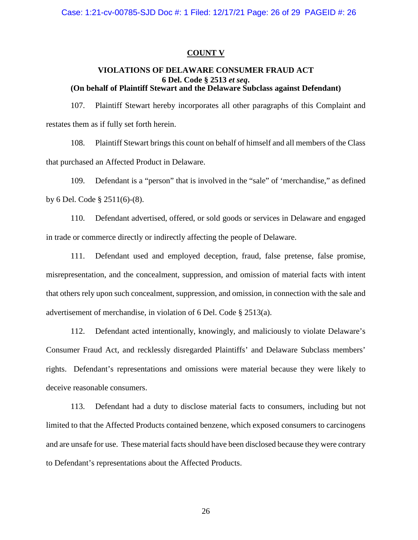### **COUNT V**

### **VIOLATIONS OF DELAWARE CONSUMER FRAUD ACT 6 Del. Code § 2513** *et seq***. (On behalf of Plaintiff Stewart and the Delaware Subclass against Defendant)**

107. Plaintiff Stewart hereby incorporates all other paragraphs of this Complaint and restates them as if fully set forth herein.

108. Plaintiff Stewart brings this count on behalf of himself and all members of the Class that purchased an Affected Product in Delaware.

109. Defendant is a "person" that is involved in the "sale" of 'merchandise," as defined by 6 Del. Code § 2511(6)-(8).

110. Defendant advertised, offered, or sold goods or services in Delaware and engaged in trade or commerce directly or indirectly affecting the people of Delaware.

111. Defendant used and employed deception, fraud, false pretense, false promise, misrepresentation, and the concealment, suppression, and omission of material facts with intent that others rely upon such concealment, suppression, and omission, in connection with the sale and advertisement of merchandise, in violation of 6 Del. Code § 2513(a).

112. Defendant acted intentionally, knowingly, and maliciously to violate Delaware's Consumer Fraud Act, and recklessly disregarded Plaintiffs' and Delaware Subclass members' rights. Defendant's representations and omissions were material because they were likely to deceive reasonable consumers.

113. Defendant had a duty to disclose material facts to consumers, including but not limited to that the Affected Products contained benzene, which exposed consumers to carcinogens and are unsafe for use. These material facts should have been disclosed because they were contrary to Defendant's representations about the Affected Products.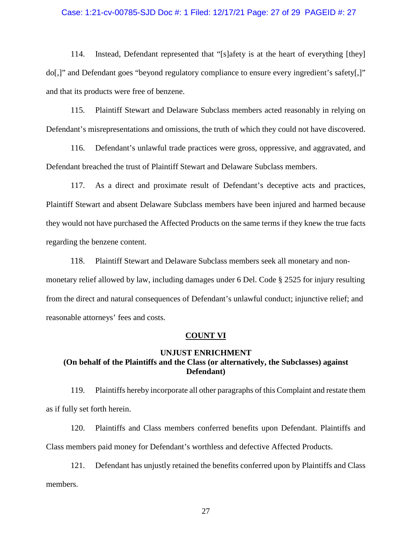### Case: 1:21-cv-00785-SJD Doc #: 1 Filed: 12/17/21 Page: 27 of 29 PAGEID #: 27

114. Instead, Defendant represented that "[s]afety is at the heart of everything [they] do[,]" and Defendant goes "beyond regulatory compliance to ensure every ingredient's safety[,]" and that its products were free of benzene.

115. Plaintiff Stewart and Delaware Subclass members acted reasonably in relying on Defendant's misrepresentations and omissions, the truth of which they could not have discovered.

116. Defendant's unlawful trade practices were gross, oppressive, and aggravated, and Defendant breached the trust of Plaintiff Stewart and Delaware Subclass members.

117. As a direct and proximate result of Defendant's deceptive acts and practices, Plaintiff Stewart and absent Delaware Subclass members have been injured and harmed because they would not have purchased the Affected Products on the same terms if they knew the true facts regarding the benzene content.

118. Plaintiff Stewart and Delaware Subclass members seek all monetary and nonmonetary relief allowed by law, including damages under 6 Del. Code § 2525 for injury resulting from the direct and natural consequences of Defendant's unlawful conduct; injunctive relief; and reasonable attorneys' fees and costs.

### **COUNT VI**

### **UNJUST ENRICHMENT (On behalf of the Plaintiffs and the Class (or alternatively, the Subclasses) against Defendant)**

119. Plaintiffs hereby incorporate all other paragraphs of this Complaint and restate them as if fully set forth herein.

120. Plaintiffs and Class members conferred benefits upon Defendant. Plaintiffs and Class members paid money for Defendant's worthless and defective Affected Products.

121. Defendant has unjustly retained the benefits conferred upon by Plaintiffs and Class members.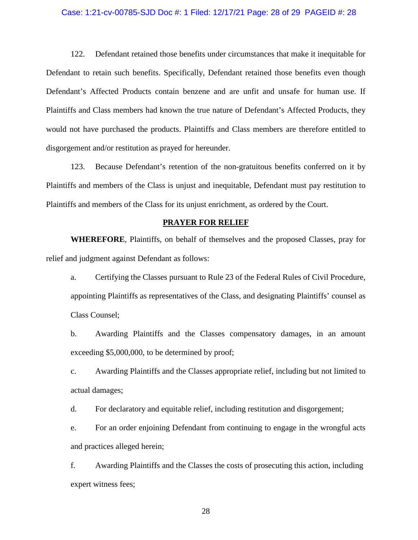### Case: 1:21-cv-00785-SJD Doc #: 1 Filed: 12/17/21 Page: 28 of 29 PAGEID #: 28

122. Defendant retained those benefits under circumstances that make it inequitable for Defendant to retain such benefits. Specifically, Defendant retained those benefits even though Defendant's Affected Products contain benzene and are unfit and unsafe for human use. If Plaintiffs and Class members had known the true nature of Defendant's Affected Products, they would not have purchased the products. Plaintiffs and Class members are therefore entitled to disgorgement and/or restitution as prayed for hereunder.

123. Because Defendant's retention of the non-gratuitous benefits conferred on it by Plaintiffs and members of the Class is unjust and inequitable, Defendant must pay restitution to Plaintiffs and members of the Class for its unjust enrichment, as ordered by the Court.

### **PRAYER FOR RELIEF**

**WHEREFORE**, Plaintiffs, on behalf of themselves and the proposed Classes, pray for relief and judgment against Defendant as follows:

a. Certifying the Classes pursuant to Rule 23 of the Federal Rules of Civil Procedure, appointing Plaintiffs as representatives of the Class, and designating Plaintiffs' counsel as Class Counsel;

b. Awarding Plaintiffs and the Classes compensatory damages, in an amount exceeding \$5,000,000, to be determined by proof;

c. Awarding Plaintiffs and the Classes appropriate relief, including but not limited to actual damages;

d. For declaratory and equitable relief, including restitution and disgorgement;

e. For an order enjoining Defendant from continuing to engage in the wrongful acts and practices alleged herein;

f. Awarding Plaintiffs and the Classes the costs of prosecuting this action, including expert witness fees;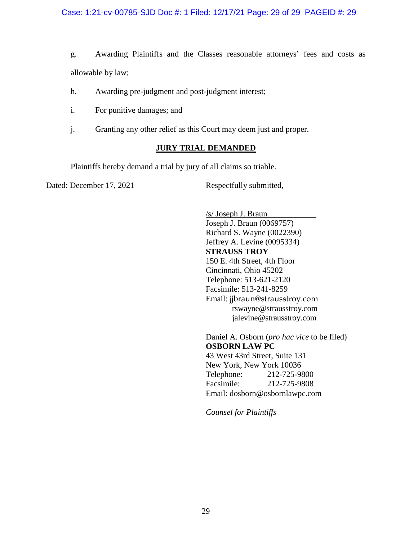### Case: 1:21-cv-00785-SJD Doc #: 1 Filed: 12/17/21 Page: 29 of 29 PAGEID #: 29

g. Awarding Plaintiffs and the Classes reasonable attorneys' fees and costs as allowable by law;

- h. Awarding pre-judgment and post-judgment interest;
- i. For punitive damages; and
- j. Granting any other relief as this Court may deem just and proper.

### **JURY TRIAL DEMANDED**

Plaintiffs hereby demand a trial by jury of all claims so triable.

Dated: December 17, 2021 Respectfully submitted,

/s/ Joseph J. Braun Joseph J. Braun (0069757) Richard S. Wayne (0022390) Jeffrey A. Levine (0095334) **STRAUSS TROY**  150 E. 4th Street, 4th Floor Cincinnati, Ohio 45202 Telephone: 513-621-2120 Facsimile: 513-241-8259 Email: jjbraun@strausstroy.com rswayne@strausstroy.com jalevine@strausstroy.com

Daniel A. Osborn (*pro hac vice* to be filed) **OSBORN LAW PC**  43 West 43rd Street, Suite 131 New York, New York 10036 Telephone: 212-725-9800 Facsimile: 212-725-9808 Email: dosborn@osbornlawpc.com

*Counsel for Plaintiffs*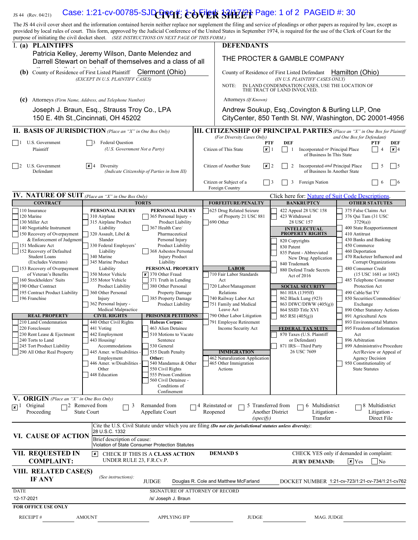# $_{\rm JS\,44\,~(Rev.~04/21)}$  Case: 1:21-cv-00785-SJD Q  $\bf QQ$   $\bf PQ$   $\bf PQ$   $\bf PQ$   $\bf RQ$   $\bf RQ$   $\bf PQ$   $\bf PQ$   $\bf PQ$   $\bf PQ$

The JS 44 civil cover sheet and the information contained herein neither replace nor supplement the filing and service of pleadings or other papers as required by law, except as provided by local rules of court. This form, approved by the Judicial Conference of the United States in September 1974, is required for the use of the Clerk of Court for the purpose of initiating the civil docket sheet. (SEE INSTRUCTIONS ON NEXT PAGE OF THIS FORM.)

| I. (a) PLAINTIFFS                                                                                                                                                                                                                                                                                                                                                                                                                                                                                                                                                       |                                                                                                                                                                                                                                                                                                                                                                                                                                                                                                                                                                                                                                                                                                                                                                                                                                                                                                                                                                                                                                                                                                                                                                     | <b>DEFENDANTS</b>                                                                                                                                                                                                                                                                                                                                                       |                                                                                                                                                                                                                                                                                                                                                                                                                                                                                             |                                                                                                                                                                                                                                                                                                                                                                                                                                                                                                                                                                                                                                              |  |  |
|-------------------------------------------------------------------------------------------------------------------------------------------------------------------------------------------------------------------------------------------------------------------------------------------------------------------------------------------------------------------------------------------------------------------------------------------------------------------------------------------------------------------------------------------------------------------------|---------------------------------------------------------------------------------------------------------------------------------------------------------------------------------------------------------------------------------------------------------------------------------------------------------------------------------------------------------------------------------------------------------------------------------------------------------------------------------------------------------------------------------------------------------------------------------------------------------------------------------------------------------------------------------------------------------------------------------------------------------------------------------------------------------------------------------------------------------------------------------------------------------------------------------------------------------------------------------------------------------------------------------------------------------------------------------------------------------------------------------------------------------------------|-------------------------------------------------------------------------------------------------------------------------------------------------------------------------------------------------------------------------------------------------------------------------------------------------------------------------------------------------------------------------|---------------------------------------------------------------------------------------------------------------------------------------------------------------------------------------------------------------------------------------------------------------------------------------------------------------------------------------------------------------------------------------------------------------------------------------------------------------------------------------------|----------------------------------------------------------------------------------------------------------------------------------------------------------------------------------------------------------------------------------------------------------------------------------------------------------------------------------------------------------------------------------------------------------------------------------------------------------------------------------------------------------------------------------------------------------------------------------------------------------------------------------------------|--|--|
|                                                                                                                                                                                                                                                                                                                                                                                                                                                                                                                                                                         | Patricia Kelley, Jeremy Wilson, Dante Melendez and<br>Darrell Stewart on behalf of themselves and a class of all                                                                                                                                                                                                                                                                                                                                                                                                                                                                                                                                                                                                                                                                                                                                                                                                                                                                                                                                                                                                                                                    | THE PROCTER & GAMBLE COMPANY                                                                                                                                                                                                                                                                                                                                            |                                                                                                                                                                                                                                                                                                                                                                                                                                                                                             |                                                                                                                                                                                                                                                                                                                                                                                                                                                                                                                                                                                                                                              |  |  |
| (b) County of Residence of First Listed Plaintiff                                                                                                                                                                                                                                                                                                                                                                                                                                                                                                                       | Clermont (Ohio)                                                                                                                                                                                                                                                                                                                                                                                                                                                                                                                                                                                                                                                                                                                                                                                                                                                                                                                                                                                                                                                                                                                                                     | Hamilton (Ohio)<br>County of Residence of First Listed Defendant                                                                                                                                                                                                                                                                                                        |                                                                                                                                                                                                                                                                                                                                                                                                                                                                                             |                                                                                                                                                                                                                                                                                                                                                                                                                                                                                                                                                                                                                                              |  |  |
|                                                                                                                                                                                                                                                                                                                                                                                                                                                                                                                                                                         | (EXCEPT IN U.S. PLAINTIFF CASES)                                                                                                                                                                                                                                                                                                                                                                                                                                                                                                                                                                                                                                                                                                                                                                                                                                                                                                                                                                                                                                                                                                                                    | (IN U.S. PLAINTIFF CASES ONLY)<br>IN LAND CONDEMNATION CASES, USE THE LOCATION OF<br>NOTE:<br>THE TRACT OF LAND INVOLVED.                                                                                                                                                                                                                                               |                                                                                                                                                                                                                                                                                                                                                                                                                                                                                             |                                                                                                                                                                                                                                                                                                                                                                                                                                                                                                                                                                                                                                              |  |  |
| (c)                                                                                                                                                                                                                                                                                                                                                                                                                                                                                                                                                                     | Attorneys (Firm Name, Address, and Telephone Number)                                                                                                                                                                                                                                                                                                                                                                                                                                                                                                                                                                                                                                                                                                                                                                                                                                                                                                                                                                                                                                                                                                                | Attorneys (If Known)                                                                                                                                                                                                                                                                                                                                                    |                                                                                                                                                                                                                                                                                                                                                                                                                                                                                             |                                                                                                                                                                                                                                                                                                                                                                                                                                                                                                                                                                                                                                              |  |  |
|                                                                                                                                                                                                                                                                                                                                                                                                                                                                                                                                                                         | Joseph J. Braun, Esq., Strauss Troy Co., LPA<br>150 E. 4th St., Cincinnati, OH 45202                                                                                                                                                                                                                                                                                                                                                                                                                                                                                                                                                                                                                                                                                                                                                                                                                                                                                                                                                                                                                                                                                |                                                                                                                                                                                                                                                                                                                                                                         | Andrew Soukup, Esq., Covington & Burling LLP, One                                                                                                                                                                                                                                                                                                                                                                                                                                           | CityCenter, 850 Tenth St. NW, Washington, DC 20001-4956                                                                                                                                                                                                                                                                                                                                                                                                                                                                                                                                                                                      |  |  |
|                                                                                                                                                                                                                                                                                                                                                                                                                                                                                                                                                                         | <b>II. BASIS OF JURISDICTION</b> (Place an "X" in One Box Only)                                                                                                                                                                                                                                                                                                                                                                                                                                                                                                                                                                                                                                                                                                                                                                                                                                                                                                                                                                                                                                                                                                     |                                                                                                                                                                                                                                                                                                                                                                         |                                                                                                                                                                                                                                                                                                                                                                                                                                                                                             | <b>III. CITIZENSHIP OF PRINCIPAL PARTIES</b> (Place an "X" in One Box for Plaintiff                                                                                                                                                                                                                                                                                                                                                                                                                                                                                                                                                          |  |  |
| U.S. Government<br>$\Box$<br>Plaintiff                                                                                                                                                                                                                                                                                                                                                                                                                                                                                                                                  | <b>Federal Question</b><br>(U.S. Government Not a Party)                                                                                                                                                                                                                                                                                                                                                                                                                                                                                                                                                                                                                                                                                                                                                                                                                                                                                                                                                                                                                                                                                                            | (For Diversity Cases Only)<br><b>PTF</b><br>Citizen of This State<br>$\vert x \vert$ 1                                                                                                                                                                                                                                                                                  | <b>DEF</b><br>Incorporated or Principal Place<br>-1<br>of Business In This State                                                                                                                                                                                                                                                                                                                                                                                                            | and One Box for Defendant)<br><b>PTF</b><br>DEF<br>$\sqrt{\mathbf{x}}$ 4                                                                                                                                                                                                                                                                                                                                                                                                                                                                                                                                                                     |  |  |
| U.S. Government<br>$\vert$   2<br>Defendant                                                                                                                                                                                                                                                                                                                                                                                                                                                                                                                             | $\times$ 4 Diversity<br>(Indicate Citizenship of Parties in Item III)                                                                                                                                                                                                                                                                                                                                                                                                                                                                                                                                                                                                                                                                                                                                                                                                                                                                                                                                                                                                                                                                                               | x 2<br>Citizen of Another State                                                                                                                                                                                                                                                                                                                                         | Incorporated and Principal Place<br>2<br>of Business In Another State                                                                                                                                                                                                                                                                                                                                                                                                                       | $\vert$ 5<br>.5                                                                                                                                                                                                                                                                                                                                                                                                                                                                                                                                                                                                                              |  |  |
|                                                                                                                                                                                                                                                                                                                                                                                                                                                                                                                                                                         |                                                                                                                                                                                                                                                                                                                                                                                                                                                                                                                                                                                                                                                                                                                                                                                                                                                                                                                                                                                                                                                                                                                                                                     | Citizen or Subject of a<br>Foreign Country                                                                                                                                                                                                                                                                                                                              | Foreign Nation<br>  3<br>3                                                                                                                                                                                                                                                                                                                                                                                                                                                                  | $\sqrt{6}$<br>6                                                                                                                                                                                                                                                                                                                                                                                                                                                                                                                                                                                                                              |  |  |
| <b>IV. NATURE OF SUIT</b> (Place an "X" in One Box Only)                                                                                                                                                                                                                                                                                                                                                                                                                                                                                                                |                                                                                                                                                                                                                                                                                                                                                                                                                                                                                                                                                                                                                                                                                                                                                                                                                                                                                                                                                                                                                                                                                                                                                                     |                                                                                                                                                                                                                                                                                                                                                                         | Click here for: Nature of Suit Code Descriptions.                                                                                                                                                                                                                                                                                                                                                                                                                                           |                                                                                                                                                                                                                                                                                                                                                                                                                                                                                                                                                                                                                                              |  |  |
| <b>CONTRACT</b><br>110 Insurance                                                                                                                                                                                                                                                                                                                                                                                                                                                                                                                                        | <b>TORTS</b><br>PERSONAL INJURY<br>PERSONAL INJURY                                                                                                                                                                                                                                                                                                                                                                                                                                                                                                                                                                                                                                                                                                                                                                                                                                                                                                                                                                                                                                                                                                                  | <b>FORFEITURE/PENALTY</b><br>625 Drug Related Seizure                                                                                                                                                                                                                                                                                                                   | <b>BANKRUPTCY</b><br>422 Appeal 28 USC 158                                                                                                                                                                                                                                                                                                                                                                                                                                                  | <b>OTHER STATUTES</b><br>375 False Claims Act                                                                                                                                                                                                                                                                                                                                                                                                                                                                                                                                                                                                |  |  |
| 120 Marine<br>130 Miller Act<br>140 Negotiable Instrument<br>150 Recovery of Overpayment<br>& Enforcement of Judgment<br>151 Medicare Act<br>152 Recovery of Defaulted<br><b>Student Loans</b><br>(Excludes Veterans)<br>153 Recovery of Overpayment<br>of Veteran's Benefits<br>160 Stockholders' Suits<br>190 Other Contract<br>195 Contract Product Liability<br>196 Franchise<br><b>REAL PROPERTY</b><br>210 Land Condemnation<br>220 Foreclosure<br>230 Rent Lease & Ejectment<br>240 Torts to Land<br>245 Tort Product Liability<br>$\Box$ 243 1011 100000 200000 | 310 Airplane<br>365 Personal Injury -<br>315 Airplane Product<br>Product Liability<br>367 Health Care/<br>Liability<br>320 Assault, Libel &<br>Pharmaceutical<br>Slander<br>Personal Injury<br>330 Federal Employers'<br><b>Product Liability</b><br>Liability<br>368 Asbestos Personal<br>340 Marine<br><b>Injury Product</b><br>Liability<br>345 Marine Product<br>PERSONAL PROPERTY<br>Liability<br>350 Motor Vehicle<br>$\vert x \vert$ 370 Other Fraud<br>355 Motor Vehicle<br>371 Truth in Lending<br>380 Other Personal<br>Product Liability<br>360 Other Personal<br><b>Property Damage</b><br>385 Property Damage<br>Injury<br>362 Personal Injury -<br>Product Liability<br>Medical Malpractice<br><b>CIVIL RIGHTS</b><br><b>PRISONER PETITIONS</b><br>440 Other Civil Rights<br><b>Habeas Corpus:</b><br>441 Voting<br>463 Alien Detainee<br>510 Motions to Vacate<br>442 Employment<br>443 Housing/<br>Sentence<br>530 General<br>Accommodations<br>535 Death Penalty<br>445 Amer. w/Disabilities -<br>Employment<br>Other:<br>446 Amer. w/Disabilities -<br>540 Mandamus & Other<br>550 Civil Rights<br>Other<br>448 Education<br>555 Prison Condition | of Property 21 USC 881<br>690 Other<br><b>LABOR</b><br>710 Fair Labor Standards<br>Act<br>720 Labor/Management<br>Relations<br>740 Railway Labor Act<br>751 Family and Medical<br>Leave Act<br>790 Other Labor Litigation<br>791 Employee Retirement<br>Income Security Act<br><b>IMMIGRATION</b><br>462 Naturalization Application<br>465 Other Immigration<br>Actions | 423 Withdrawal<br>28 USC 157<br><b>INTELLECTUAL</b><br><b>PROPERTY RIGHTS</b><br>820 Copyrights<br>830 Patent<br>835 Patent - Abbreviated<br>New Drug Application<br>840 Trademark<br>880 Defend Trade Secrets<br>Act of 2016<br><b>SOCIAL SECURITY</b><br>861 HIA (1395ff)<br>862 Black Lung (923)<br>863 DIWC/DIWW (405(g))<br>864 SSID Title XVI<br>$865$ RSI $(405(g))$<br><b>FEDERAL TAX SUITS</b><br>870 Taxes (U.S. Plaintiff<br>or Defendant)<br>871 IRS-Third Party<br>26 USC 7609 | 376 Qui Tam (31 USC<br>3729(a)<br>400 State Reapportionment<br>410 Antitrust<br>430 Banks and Banking<br>450 Commerce<br>460 Deportation<br>470 Racketeer Influenced and<br>Corrupt Organizations<br>480 Consumer Credit<br>(15 USC 1681 or 1692)<br>485 Telephone Consumer<br>Protection Act<br>490 Cable/Sat TV<br>850 Securities/Commodities/<br>Exchange<br>890 Other Statutory Actions<br>891 Agricultural Acts<br>893 Environmental Matters<br>895 Freedom of Information<br>Act<br>896 Arbitration<br>899 Administrative Procedure<br>Act/Review or Appeal of<br>Agency Decision<br>950 Constitutionality of<br><b>State Statutes</b> |  |  |
| V. ORIGIN (Place an "X" in One Box Only)<br>Original<br>$\sqrt{x}$ <sup>1</sup><br>Proceeding                                                                                                                                                                                                                                                                                                                                                                                                                                                                           | 560 Civil Detainee -<br>Conditions of<br>Confinement<br>$\neg$ 2 Removed from<br>Remanded from<br>3<br><b>State Court</b><br>Appellate Court                                                                                                                                                                                                                                                                                                                                                                                                                                                                                                                                                                                                                                                                                                                                                                                                                                                                                                                                                                                                                        | 74 Reinstated or<br>5 Transferred from<br>Reopened                                                                                                                                                                                                                                                                                                                      | 6 Multidistrict<br>Another District<br>Litigation -                                                                                                                                                                                                                                                                                                                                                                                                                                         | $\Box$ 8 Multidistrict<br>Litigation -                                                                                                                                                                                                                                                                                                                                                                                                                                                                                                                                                                                                       |  |  |
|                                                                                                                                                                                                                                                                                                                                                                                                                                                                                                                                                                         |                                                                                                                                                                                                                                                                                                                                                                                                                                                                                                                                                                                                                                                                                                                                                                                                                                                                                                                                                                                                                                                                                                                                                                     | (specify)                                                                                                                                                                                                                                                                                                                                                               | Transfer                                                                                                                                                                                                                                                                                                                                                                                                                                                                                    | Direct File                                                                                                                                                                                                                                                                                                                                                                                                                                                                                                                                                                                                                                  |  |  |
| <b>VI. CAUSE OF ACTION</b>                                                                                                                                                                                                                                                                                                                                                                                                                                                                                                                                              | Cite the U.S. Civil Statute under which you are filing (Do not cite jurisdictional statutes unless diversity):<br>28 U.S.C. 1332<br>Brief description of cause:<br>Violation of State Consumer Protection Statutes                                                                                                                                                                                                                                                                                                                                                                                                                                                                                                                                                                                                                                                                                                                                                                                                                                                                                                                                                  |                                                                                                                                                                                                                                                                                                                                                                         |                                                                                                                                                                                                                                                                                                                                                                                                                                                                                             |                                                                                                                                                                                                                                                                                                                                                                                                                                                                                                                                                                                                                                              |  |  |
| VII. REQUESTED IN<br><b>COMPLAINT:</b>                                                                                                                                                                                                                                                                                                                                                                                                                                                                                                                                  | $\vert x \vert$<br>CHECK IF THIS IS A CLASS ACTION<br>UNDER RULE 23, F.R.Cv.P.                                                                                                                                                                                                                                                                                                                                                                                                                                                                                                                                                                                                                                                                                                                                                                                                                                                                                                                                                                                                                                                                                      | <b>DEMAND \$</b>                                                                                                                                                                                                                                                                                                                                                        | <b>JURY DEMAND:</b>                                                                                                                                                                                                                                                                                                                                                                                                                                                                         | CHECK YES only if demanded in complaint:<br>$\vert \mathbf{x} \vert$ Yes<br> No                                                                                                                                                                                                                                                                                                                                                                                                                                                                                                                                                              |  |  |
| VIII. RELATED CASE(S)<br><b>IF ANY</b>                                                                                                                                                                                                                                                                                                                                                                                                                                                                                                                                  | (See instructions):<br><b>JUDGE</b>                                                                                                                                                                                                                                                                                                                                                                                                                                                                                                                                                                                                                                                                                                                                                                                                                                                                                                                                                                                                                                                                                                                                 | Douglas R. Cole and Matthew McFarland                                                                                                                                                                                                                                                                                                                                   |                                                                                                                                                                                                                                                                                                                                                                                                                                                                                             | DOCKET NUMBER 1:21-cv-723/1:21-cv-734/1:21-cv762                                                                                                                                                                                                                                                                                                                                                                                                                                                                                                                                                                                             |  |  |
| <b>DATE</b>                                                                                                                                                                                                                                                                                                                                                                                                                                                                                                                                                             | SIGNATURE OF ATTORNEY OF RECORD                                                                                                                                                                                                                                                                                                                                                                                                                                                                                                                                                                                                                                                                                                                                                                                                                                                                                                                                                                                                                                                                                                                                     |                                                                                                                                                                                                                                                                                                                                                                         |                                                                                                                                                                                                                                                                                                                                                                                                                                                                                             |                                                                                                                                                                                                                                                                                                                                                                                                                                                                                                                                                                                                                                              |  |  |
| 12-17-2021<br>FOR OFFICE USE ONLY                                                                                                                                                                                                                                                                                                                                                                                                                                                                                                                                       | /s/ Joseph J. Braun                                                                                                                                                                                                                                                                                                                                                                                                                                                                                                                                                                                                                                                                                                                                                                                                                                                                                                                                                                                                                                                                                                                                                 |                                                                                                                                                                                                                                                                                                                                                                         |                                                                                                                                                                                                                                                                                                                                                                                                                                                                                             |                                                                                                                                                                                                                                                                                                                                                                                                                                                                                                                                                                                                                                              |  |  |
| <b>RECEIPT#</b>                                                                                                                                                                                                                                                                                                                                                                                                                                                                                                                                                         | <b>AMOUNT</b><br><b>APPLYING IFP</b>                                                                                                                                                                                                                                                                                                                                                                                                                                                                                                                                                                                                                                                                                                                                                                                                                                                                                                                                                                                                                                                                                                                                | <b>JUDGE</b>                                                                                                                                                                                                                                                                                                                                                            | MAG. JUDGE                                                                                                                                                                                                                                                                                                                                                                                                                                                                                  |                                                                                                                                                                                                                                                                                                                                                                                                                                                                                                                                                                                                                                              |  |  |
|                                                                                                                                                                                                                                                                                                                                                                                                                                                                                                                                                                         |                                                                                                                                                                                                                                                                                                                                                                                                                                                                                                                                                                                                                                                                                                                                                                                                                                                                                                                                                                                                                                                                                                                                                                     |                                                                                                                                                                                                                                                                                                                                                                         |                                                                                                                                                                                                                                                                                                                                                                                                                                                                                             |                                                                                                                                                                                                                                                                                                                                                                                                                                                                                                                                                                                                                                              |  |  |